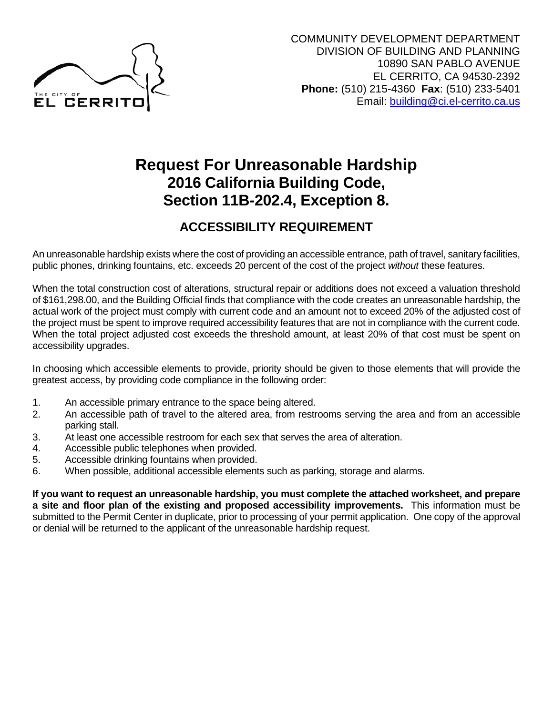

# **Request For Unreasonable Hardship 2016 California Building Code, Section 11B-202.4, Exception 8.**

## **ACCESSIBILITY REQUIREMENT**

An unreasonable hardship exists where the cost of providing an accessible entrance, path of travel, sanitary facilities, public phones, drinking fountains, etc. exceeds 20 percent of the cost of the project *without* these features.

When the total construction cost of alterations, structural repair or additions does not exceed a valuation threshold of \$161,298.00, and the Building Official finds that compliance with the code creates an unreasonable hardship, the actual work of the project must comply with current code and an amount not to exceed 20% of the adjusted cost of the project must be spent to improve required accessibility features that are not in compliance with the current code. When the total project adjusted cost exceeds the threshold amount, at least 20% of that cost must be spent on accessibility upgrades.

In choosing which accessible elements to provide, priority should be given to those elements that will provide the greatest access, by providing code compliance in the following order:

- 1. An accessible primary entrance to the space being altered.
- 2. An accessible path of travel to the altered area, from restrooms serving the area and from an accessible parking stall.
- 3. At least one accessible restroom for each sex that serves the area of alteration.
- 4. Accessible public telephones when provided.
- 5. Accessible drinking fountains when provided.
- 6. When possible, additional accessible elements such as parking, storage and alarms.

**If you want to request an unreasonable hardship, you must complete the attached worksheet, and prepare a site and floor plan of the existing and proposed accessibility improvements.** This information must be submitted to the Permit Center in duplicate, prior to processing of your permit application. One copy of the approval or denial will be returned to the applicant of the unreasonable hardship request.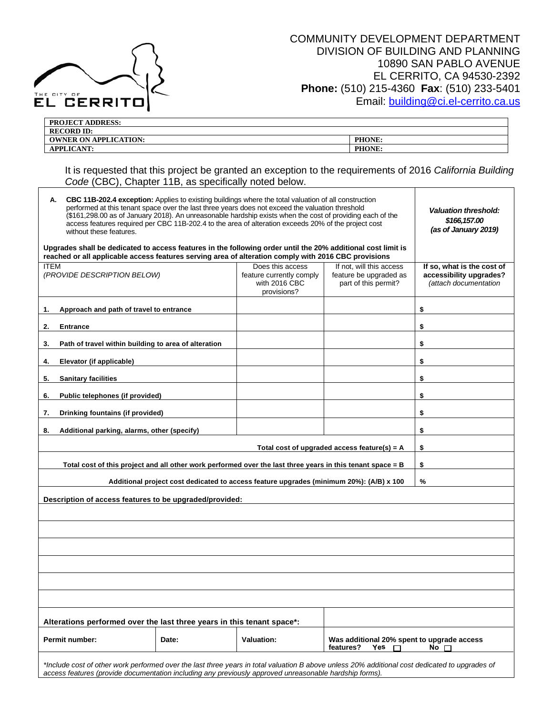

| <b>PROJECT ADDRESS:</b>      |        |
|------------------------------|--------|
| <b>RECORD ID:</b>            |        |
| <b>OWNER ON APPLICATION:</b> | PHONE: |
| <b>APPLICANT:</b>            | PHONE: |

It is requested that this project be granted an exception to the requirements of 2016 *California Building Code* (CBC), Chapter 11B, as specifically noted below.

| <b>CBC 11B-202.4 exception:</b> Applies to existing buildings where the total valuation of all construction<br>А.<br>performed at this tenant space over the last three years does not exceed the valuation threshold<br>(\$161,298.00 as of January 2018). An unreasonable hardship exists when the cost of providing each of the<br>access features required per CBC 11B-202.4 to the area of alteration exceeds 20% of the project cost<br>without these features.<br>Upgrades shall be dedicated to access features in the following order until the 20% additional cost limit is |                                                                                                                                                                                                                                                          |  |                                                                                                                                                            | <b>Valuation threshold:</b><br>\$166,157.00<br>(as of January 2019) |                                                                                |  |
|---------------------------------------------------------------------------------------------------------------------------------------------------------------------------------------------------------------------------------------------------------------------------------------------------------------------------------------------------------------------------------------------------------------------------------------------------------------------------------------------------------------------------------------------------------------------------------------|----------------------------------------------------------------------------------------------------------------------------------------------------------------------------------------------------------------------------------------------------------|--|------------------------------------------------------------------------------------------------------------------------------------------------------------|---------------------------------------------------------------------|--------------------------------------------------------------------------------|--|
|                                                                                                                                                                                                                                                                                                                                                                                                                                                                                                                                                                                       | reached or all applicable access features serving area of alteration comply with 2016 CBC provisions                                                                                                                                                     |  |                                                                                                                                                            |                                                                     |                                                                                |  |
| <b>ITEM</b><br>(PROVIDE DESCRIPTION BELOW)                                                                                                                                                                                                                                                                                                                                                                                                                                                                                                                                            |                                                                                                                                                                                                                                                          |  | Does this access<br>If not, will this access<br>feature be upgraded as<br>feature currently comply<br>with 2016 CBC<br>part of this permit?<br>provisions? |                                                                     | If so, what is the cost of<br>accessibility upgrades?<br>(attach documentation |  |
| 1.                                                                                                                                                                                                                                                                                                                                                                                                                                                                                                                                                                                    | Approach and path of travel to entrance                                                                                                                                                                                                                  |  |                                                                                                                                                            |                                                                     | \$                                                                             |  |
| 2.                                                                                                                                                                                                                                                                                                                                                                                                                                                                                                                                                                                    | <b>Entrance</b>                                                                                                                                                                                                                                          |  |                                                                                                                                                            |                                                                     | \$                                                                             |  |
| 3.                                                                                                                                                                                                                                                                                                                                                                                                                                                                                                                                                                                    | Path of travel within building to area of alteration                                                                                                                                                                                                     |  |                                                                                                                                                            |                                                                     | \$                                                                             |  |
| 4.                                                                                                                                                                                                                                                                                                                                                                                                                                                                                                                                                                                    | Elevator (if applicable)                                                                                                                                                                                                                                 |  |                                                                                                                                                            |                                                                     | \$                                                                             |  |
| 5.                                                                                                                                                                                                                                                                                                                                                                                                                                                                                                                                                                                    | <b>Sanitary facilities</b>                                                                                                                                                                                                                               |  |                                                                                                                                                            |                                                                     | \$                                                                             |  |
| 6.                                                                                                                                                                                                                                                                                                                                                                                                                                                                                                                                                                                    | Public telephones (if provided)                                                                                                                                                                                                                          |  |                                                                                                                                                            |                                                                     | \$                                                                             |  |
| 7.                                                                                                                                                                                                                                                                                                                                                                                                                                                                                                                                                                                    | Drinking fountains (if provided)                                                                                                                                                                                                                         |  |                                                                                                                                                            |                                                                     | \$                                                                             |  |
| 8.                                                                                                                                                                                                                                                                                                                                                                                                                                                                                                                                                                                    | Additional parking, alarms, other (specify)                                                                                                                                                                                                              |  |                                                                                                                                                            |                                                                     | \$                                                                             |  |
|                                                                                                                                                                                                                                                                                                                                                                                                                                                                                                                                                                                       |                                                                                                                                                                                                                                                          |  |                                                                                                                                                            | Total cost of upgraded access feature(s) = $A$                      | \$                                                                             |  |
|                                                                                                                                                                                                                                                                                                                                                                                                                                                                                                                                                                                       | Total cost of this project and all other work performed over the last three years in this tenant space = B                                                                                                                                               |  |                                                                                                                                                            |                                                                     | \$                                                                             |  |
|                                                                                                                                                                                                                                                                                                                                                                                                                                                                                                                                                                                       |                                                                                                                                                                                                                                                          |  | Additional project cost dedicated to access feature upgrades (minimum 20%): (A/B) x 100                                                                    |                                                                     | %                                                                              |  |
|                                                                                                                                                                                                                                                                                                                                                                                                                                                                                                                                                                                       | Description of access features to be upgraded/provided:                                                                                                                                                                                                  |  |                                                                                                                                                            |                                                                     |                                                                                |  |
|                                                                                                                                                                                                                                                                                                                                                                                                                                                                                                                                                                                       |                                                                                                                                                                                                                                                          |  |                                                                                                                                                            |                                                                     |                                                                                |  |
|                                                                                                                                                                                                                                                                                                                                                                                                                                                                                                                                                                                       |                                                                                                                                                                                                                                                          |  |                                                                                                                                                            |                                                                     |                                                                                |  |
|                                                                                                                                                                                                                                                                                                                                                                                                                                                                                                                                                                                       |                                                                                                                                                                                                                                                          |  |                                                                                                                                                            |                                                                     |                                                                                |  |
|                                                                                                                                                                                                                                                                                                                                                                                                                                                                                                                                                                                       |                                                                                                                                                                                                                                                          |  |                                                                                                                                                            |                                                                     |                                                                                |  |
|                                                                                                                                                                                                                                                                                                                                                                                                                                                                                                                                                                                       |                                                                                                                                                                                                                                                          |  |                                                                                                                                                            |                                                                     |                                                                                |  |
|                                                                                                                                                                                                                                                                                                                                                                                                                                                                                                                                                                                       |                                                                                                                                                                                                                                                          |  |                                                                                                                                                            |                                                                     |                                                                                |  |
| Alterations performed over the last three years in this tenant space*:                                                                                                                                                                                                                                                                                                                                                                                                                                                                                                                |                                                                                                                                                                                                                                                          |  |                                                                                                                                                            |                                                                     |                                                                                |  |
|                                                                                                                                                                                                                                                                                                                                                                                                                                                                                                                                                                                       | Valuation:<br>Permit number:<br>Date:<br>features?<br>Yes<br>П                                                                                                                                                                                           |  |                                                                                                                                                            | Was additional 20% spent to upgrade access                          | $No$ $\Box$                                                                    |  |
|                                                                                                                                                                                                                                                                                                                                                                                                                                                                                                                                                                                       | *Include cost of other work performed over the last three years in total valuation B above unless 20% additional cost dedicated to upgrades of<br>access features (provide documentation including any previously approved unreasonable hardship forms). |  |                                                                                                                                                            |                                                                     |                                                                                |  |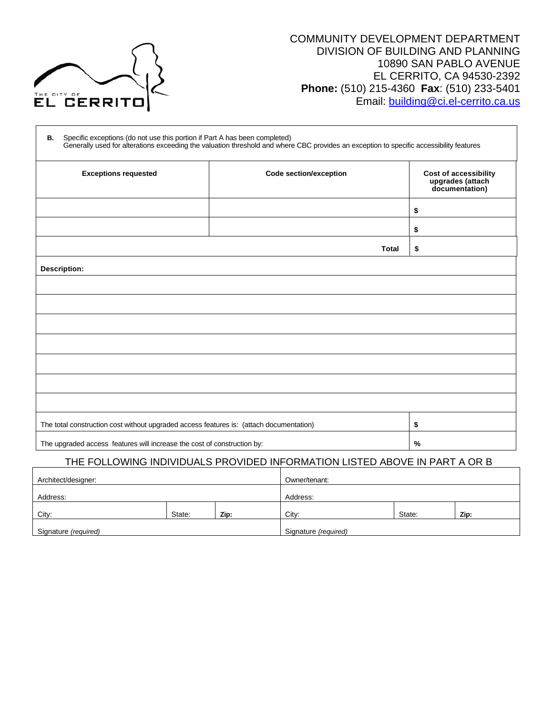

#### COMMUNITY DEVELOPMENT DEPARTMENT DIVISION OF BUILDING AND PLANNING 10890 SAN PABLO AVENUE EL CERRITO, CA 94530-2392 **Phone:** (510) 215-4360 **Fax**: (510) 233-5401 Email: [building@ci.el-cerrito.ca.us](mailto:building@ci.el-cerrito.ca.us)

| Specific exceptions (do not use this portion if Part A has been completed)<br>В.<br>Generally used for alterations exceeding the valuation threshold and where CBC provides an exception to specific accessibility features |  |  |  |  |  |
|-----------------------------------------------------------------------------------------------------------------------------------------------------------------------------------------------------------------------------|--|--|--|--|--|
| <b>Cost of accessibility</b><br>upgrades (attach<br>documentation)                                                                                                                                                          |  |  |  |  |  |
| \$                                                                                                                                                                                                                          |  |  |  |  |  |
| \$                                                                                                                                                                                                                          |  |  |  |  |  |
| \$                                                                                                                                                                                                                          |  |  |  |  |  |
|                                                                                                                                                                                                                             |  |  |  |  |  |
|                                                                                                                                                                                                                             |  |  |  |  |  |
|                                                                                                                                                                                                                             |  |  |  |  |  |
|                                                                                                                                                                                                                             |  |  |  |  |  |
|                                                                                                                                                                                                                             |  |  |  |  |  |
|                                                                                                                                                                                                                             |  |  |  |  |  |
|                                                                                                                                                                                                                             |  |  |  |  |  |
|                                                                                                                                                                                                                             |  |  |  |  |  |
| The total construction cost without upgraded access features is: (attach documentation)<br>\$                                                                                                                               |  |  |  |  |  |
| %                                                                                                                                                                                                                           |  |  |  |  |  |
|                                                                                                                                                                                                                             |  |  |  |  |  |

#### THE FOLLOWING INDIVIDUALS PROVIDED INFORMATION LISTED ABOVE IN PART A OR B

| Architect/designer:  |        |      | Owner/tenant:        |        |      |
|----------------------|--------|------|----------------------|--------|------|
| Address:             |        |      | Address:             |        |      |
| City:                | State: | Zip: | City:                | State: | Zip: |
| Signature (required) |        |      | Signature (required) |        |      |